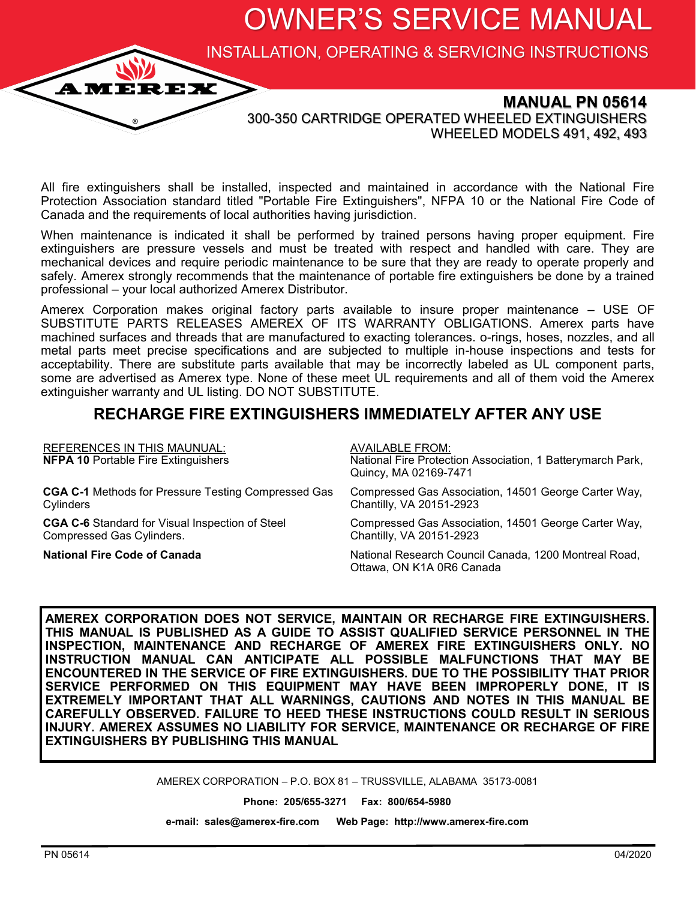OWNER'S SERVICE MANUAL

INSTALLATION, OPERATING & SERVICING INSTRUCTIONS



**MANUAL PN 05614** 300-350 CARTRIDGE OPERATED WHEELED EXTINGUISHERS WHEELED MODELS 491, 492, 493

All fire extinguishers shall be installed, inspected and maintained in accordance with the National Fire Protection Association standard titled "Portable Fire Extinguishers", NFPA 10 or the National Fire Code of Canada and the requirements of local authorities having jurisdiction.

When maintenance is indicated it shall be performed by trained persons having proper equipment. Fire extinguishers are pressure vessels and must be treated with respect and handled with care. They are mechanical devices and require periodic maintenance to be sure that they are ready to operate properly and safely. Amerex strongly recommends that the maintenance of portable fire extinguishers be done by a trained professional – your local authorized Amerex Distributor.

Amerex Corporation makes original factory parts available to insure proper maintenance – USE OF SUBSTITUTE PARTS RELEASES AMEREX OF ITS WARRANTY OBLIGATIONS. Amerex parts have machined surfaces and threads that are manufactured to exacting tolerances. o-rings, hoses, nozzles, and all metal parts meet precise specifications and are subjected to multiple in-house inspections and tests for acceptability. There are substitute parts available that may be incorrectly labeled as UL component parts, some are advertised as Amerex type. None of these meet UL requirements and all of them void the Amerex extinguisher warranty and UL listing. DO NOT SUBSTITUTE.

### **RECHARGE FIRE EXTINGUISHERS IMMEDIATELY AFTER ANY USE**

| <b>REFERENCES IN THIS MAUNUAL:</b><br><b>NFPA 10 Portable Fire Extinguishers</b> | <b>AVAILABLE FROM:</b><br>National Fire Protection Association, 1 Batterymarch Park,<br>Quincy, MA 02169-7471 |
|----------------------------------------------------------------------------------|---------------------------------------------------------------------------------------------------------------|
| <b>CGA C-1</b> Methods for Pressure Testing Compressed Gas                       | Compressed Gas Association, 14501 George Carter Way,                                                          |
| Cylinders                                                                        | Chantilly, VA 20151-2923                                                                                      |
| <b>CGA C-6</b> Standard for Visual Inspection of Steel                           | Compressed Gas Association, 14501 George Carter Way,                                                          |
| Compressed Gas Cylinders.                                                        | Chantilly, VA 20151-2923                                                                                      |
| <b>National Fire Code of Canada</b>                                              | National Research Council Canada, 1200 Montreal Road,<br>Ottawa, ON K1A 0R6 Canada                            |

**AMEREX CORPORATION DOES NOT SERVICE, MAINTAIN OR RECHARGE FIRE EXTINGUISHERS. THIS MANUAL IS PUBLISHED AS A GUIDE TO ASSIST QUALIFIED SERVICE PERSONNEL IN THE INSPECTION, MAINTENANCE AND RECHARGE OF AMEREX FIRE EXTINGUISHERS ONLY. NO INSTRUCTION MANUAL CAN ANTICIPATE ALL POSSIBLE MALFUNCTIONS THAT MAY BE ENCOUNTERED IN THE SERVICE OF FIRE EXTINGUISHERS. DUE TO THE POSSIBILITY THAT PRIOR SERVICE PERFORMED ON THIS EQUIPMENT MAY HAVE BEEN IMPROPERLY DONE, IT IS EXTREMELY IMPORTANT THAT ALL WARNINGS, CAUTIONS AND NOTES IN THIS MANUAL BE CAREFULLY OBSERVED. FAILURE TO HEED THESE INSTRUCTIONS COULD RESULT IN SERIOUS INJURY. AMEREX ASSUMES NO LIABILITY FOR SERVICE, MAINTENANCE OR RECHARGE OF FIRE EXTINGUISHERS BY PUBLISHING THIS MANUAL** 

AMEREX CORPORATION – P.O. BOX 81 – TRUSSVILLE, ALABAMA 35173-0081

**Phone: 205/655-3271 Fax: 800/654-5980**

**e-mail: sales@amerex-fire.com Web Page: http://www.amerex-fire.com**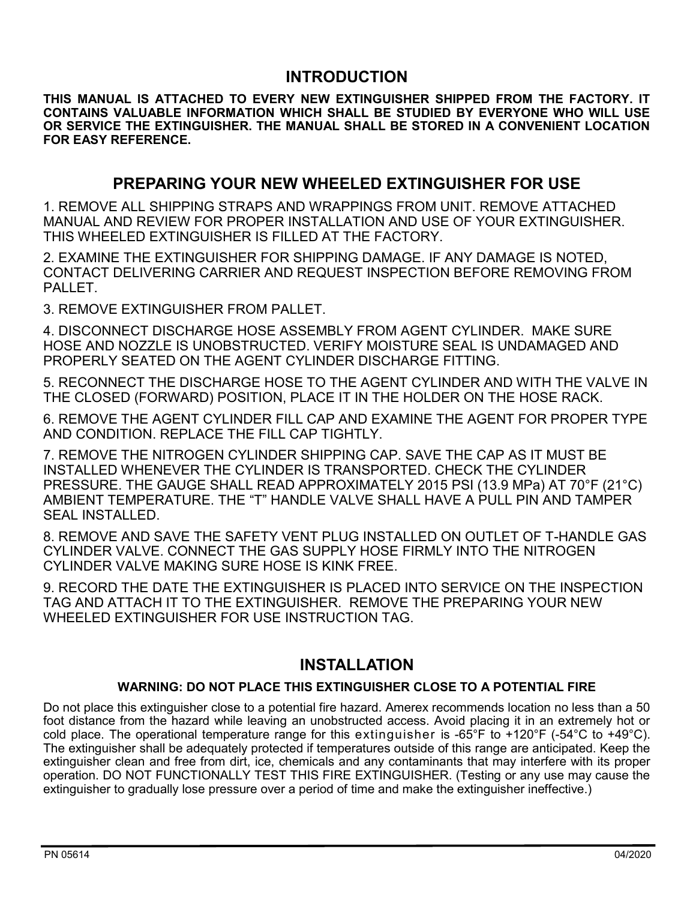### **INTRODUCTION**

**THIS MANUAL IS ATTACHED TO EVERY NEW EXTINGUISHER SHIPPED FROM THE FACTORY. IT CONTAINS VALUABLE INFORMATION WHICH SHALL BE STUDIED BY EVERYONE WHO WILL USE OR SERVICE THE EXTINGUISHER. THE MANUAL SHALL BE STORED IN A CONVENIENT LOCATION FOR EASY REFERENCE.**

### **PREPARING YOUR NEW WHEELED EXTINGUISHER FOR USE**

1. REMOVE ALL SHIPPING STRAPS AND WRAPPINGS FROM UNIT. REMOVE ATTACHED MANUAL AND REVIEW FOR PROPER INSTALLATION AND USE OF YOUR EXTINGUISHER. THIS WHEELED EXTINGUISHER IS FILLED AT THE FACTORY.

2. EXAMINE THE EXTINGUISHER FOR SHIPPING DAMAGE. IF ANY DAMAGE IS NOTED, CONTACT DELIVERING CARRIER AND REQUEST INSPECTION BEFORE REMOVING FROM PALLET.

3. REMOVE EXTINGUISHER FROM PALLET.

4. DISCONNECT DISCHARGE HOSE ASSEMBLY FROM AGENT CYLINDER. MAKE SURE HOSE AND NOZZLE IS UNOBSTRUCTED. VERIFY MOISTURE SEAL IS UNDAMAGED AND PROPERLY SEATED ON THE AGENT CYLINDER DISCHARGE FITTING.

5. RECONNECT THE DISCHARGE HOSE TO THE AGENT CYLINDER AND WITH THE VALVE IN THE CLOSED (FORWARD) POSITION, PLACE IT IN THE HOLDER ON THE HOSE RACK.

6. REMOVE THE AGENT CYLINDER FILL CAP AND EXAMINE THE AGENT FOR PROPER TYPE AND CONDITION. REPLACE THE FILL CAP TIGHTLY.

7. REMOVE THE NITROGEN CYLINDER SHIPPING CAP. SAVE THE CAP AS IT MUST BE INSTALLED WHENEVER THE CYLINDER IS TRANSPORTED. CHECK THE CYLINDER PRESSURE. THE GAUGE SHALL READ APPROXIMATELY 2015 PSI (13.9 MPa) AT 70°F (21°C) AMBIENT TEMPERATURE. THE "T" HANDLE VALVE SHALL HAVE A PULL PIN AND TAMPER SEAL INSTALLED.

8. REMOVE AND SAVE THE SAFETY VENT PLUG INSTALLED ON OUTLET OF T-HANDLE GAS CYLINDER VALVE. CONNECT THE GAS SUPPLY HOSE FIRMLY INTO THE NITROGEN CYLINDER VALVE MAKING SURE HOSE IS KINK FREE.

9. RECORD THE DATE THE EXTINGUISHER IS PLACED INTO SERVICE ON THE INSPECTION TAG AND ATTACH IT TO THE EXTINGUISHER. REMOVE THE PREPARING YOUR NEW WHEELED EXTINGUISHER FOR USE INSTRUCTION TAG.

# **INSTALLATION**

#### **WARNING: DO NOT PLACE THIS EXTINGUISHER CLOSE TO A POTENTIAL FIRE**

Do not place this extinguisher close to a potential fire hazard. Amerex recommends location no less than a 50 foot distance from the hazard while leaving an unobstructed access. Avoid placing it in an extremely hot or cold place. The operational temperature range for this extinguisher is -65°F to  $+120$ °F (-54°C to  $+49$ °C). The extinguisher shall be adequately protected if temperatures outside of this range are anticipated. Keep the extinguisher clean and free from dirt, ice, chemicals and any contaminants that may interfere with its proper operation. DO NOT FUNCTIONALLY TEST THIS FIRE EXTINGUISHER. (Testing or any use may cause the extinguisher to gradually lose pressure over a period of time and make the extinguisher ineffective.)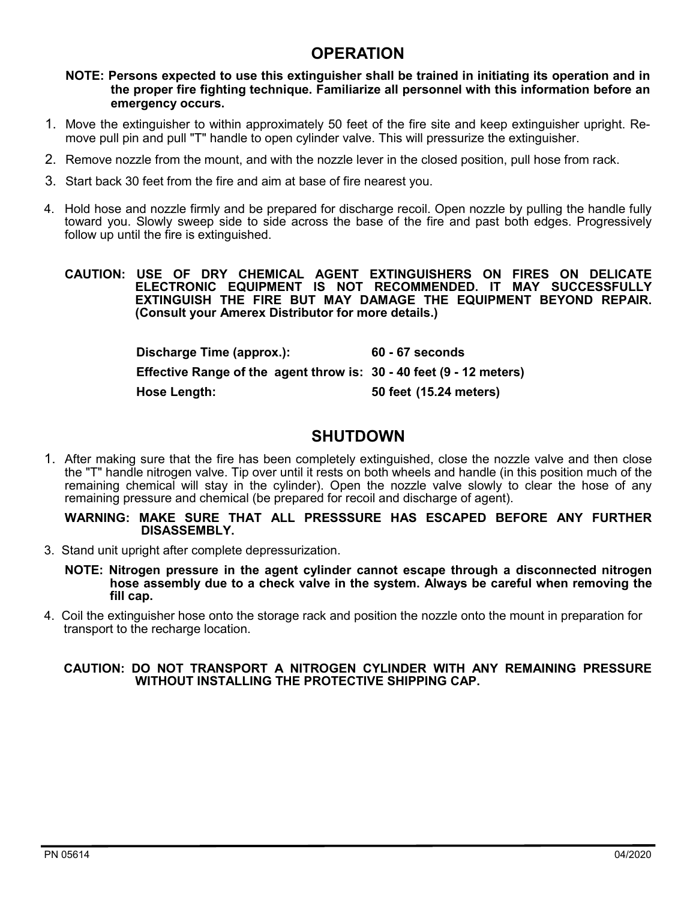### **OPERATION**

**NOTE: Persons expected to use this extinguisher shall be trained in initiating its operation and in the proper fire fighting technique. Familiarize all personnel with this information before an emergency occurs.**

- 1. Move the extinguisher to within approximately 50 feet of the fire site and keep extinguisher upright. Remove pull pin and pull "T" handle to open cylinder valve. This will pressurize the extinguisher.
- 2. Remove nozzle from the mount, and with the nozzle lever in the closed position, pull hose from rack.
- 3. Start back 30 feet from the fire and aim at base of fire nearest you.
- 4. Hold hose and nozzle firmly and be prepared for discharge recoil. Open nozzle by pulling the handle fully toward you. Slowly sweep side to side across the base of the fire and past both edges. Progressively follow up until the fire is extinguished.

**CAUTION: USE OF DRY CHEMICAL AGENT EXTINGUISHERS ON FIRES ON DELICATE ELECTRONIC EQUIPMENT IS NOT RECOMMENDED. IT MAY SUCCESSFULLY EXTINGUISH THE FIRE BUT MAY DAMAGE THE EQUIPMENT BEYOND REPAIR. (Consult your Amerex Distributor for more details.)**

> **Discharge Time (approx.): 60 - 67 seconds Effective Range of the agent throw is: 30 - 40 feet (9 - 12 meters) Hose Length: 50 feet (15.24 meters)**

### **SHUTDOWN**

1. After making sure that the fire has been completely extinguished, close the nozzle valve and then close the "T" handle nitrogen valve. Tip over until it rests on both wheels and handle (in this position much of the remaining chemical will stay in the cylinder). Open the nozzle valve slowly to clear the hose of any remaining pressure and chemical (be prepared for recoil and discharge of agent).

#### **WARNING: MAKE SURE THAT ALL PRESSSURE HAS ESCAPED BEFORE ANY FURTHER DISASSEMBLY.**

3. Stand unit upright after complete depressurization.

**NOTE: Nitrogen pressure in the agent cylinder cannot escape through a disconnected nitrogen hose assembly due to a check valve in the system. Always be careful when removing the fill cap.**

4. Coil the extinguisher hose onto the storage rack and position the nozzle onto the mount in preparation for transport to the recharge location.

#### **CAUTION: DO NOT TRANSPORT A NITROGEN CYLINDER WITH ANY REMAINING PRESSURE WITHOUT INSTALLING THE PROTECTIVE SHIPPING CAP.**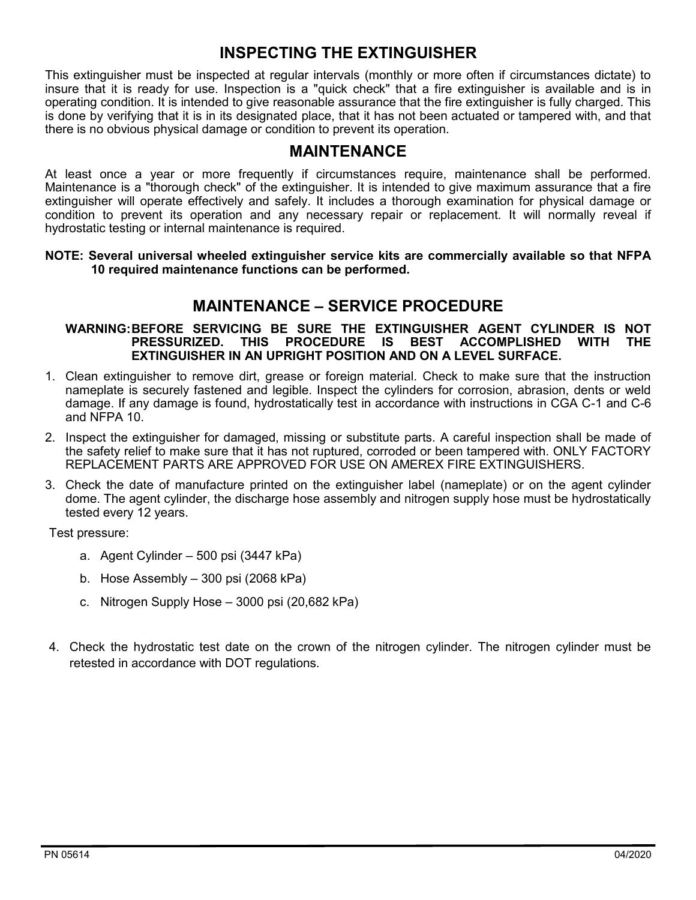## **INSPECTING THE EXTINGUISHER**

This extinguisher must be inspected at regular intervals (monthly or more often if circumstances dictate) to insure that it is ready for use. Inspection is a "quick check" that a fire extinguisher is available and is in operating condition. It is intended to give reasonable assurance that the fire extinguisher is fully charged. This is done by verifying that it is in its designated place, that it has not been actuated or tampered with, and that there is no obvious physical damage or condition to prevent its operation.

### **MAINTENANCE**

At least once a year or more frequently if circumstances require, maintenance shall be performed. Maintenance is a "thorough check" of the extinguisher. It is intended to give maximum assurance that a fire extinguisher will operate effectively and safely. It includes a thorough examination for physical damage or condition to prevent its operation and any necessary repair or replacement. It will normally reveal if hydrostatic testing or internal maintenance is required.

#### **NOTE: Several universal wheeled extinguisher service kits are commercially available so that NFPA 10 required maintenance functions can be performed.**

### **MAINTENANCE – SERVICE PROCEDURE**

#### **WARNING:BEFORE SERVICING BE SURE THE EXTINGUISHER AGENT CYLINDER IS NOT PRESSURIZED. THIS PROCEDURE IS BEST ACCOMPLISHED WITH THE EXTINGUISHER IN AN UPRIGHT POSITION AND ON A LEVEL SURFACE.**

- 1. Clean extinguisher to remove dirt, grease or foreign material. Check to make sure that the instruction nameplate is securely fastened and legible. Inspect the cylinders for corrosion, abrasion, dents or weld damage. If any damage is found, hydrostatically test in accordance with instructions in CGA C-1 and C-6 and NFPA 10.
- 2. Inspect the extinguisher for damaged, missing or substitute parts. A careful inspection shall be made of the safety relief to make sure that it has not ruptured, corroded or been tampered with. ONLY FACTORY REPLACEMENT PARTS ARE APPROVED FOR USE ON AMEREX FIRE EXTINGUISHERS.
- 3. Check the date of manufacture printed on the extinguisher label (nameplate) or on the agent cylinder dome. The agent cylinder, the discharge hose assembly and nitrogen supply hose must be hydrostatically tested every 12 years.

Test pressure:

- a. Agent Cylinder 500 psi (3447 kPa)
- b. Hose Assembly 300 psi (2068 kPa)
- c. Nitrogen Supply Hose 3000 psi (20,682 kPa)
- 4. Check the hydrostatic test date on the crown of the nitrogen cylinder. The nitrogen cylinder must be retested in accordance with DOT regulations.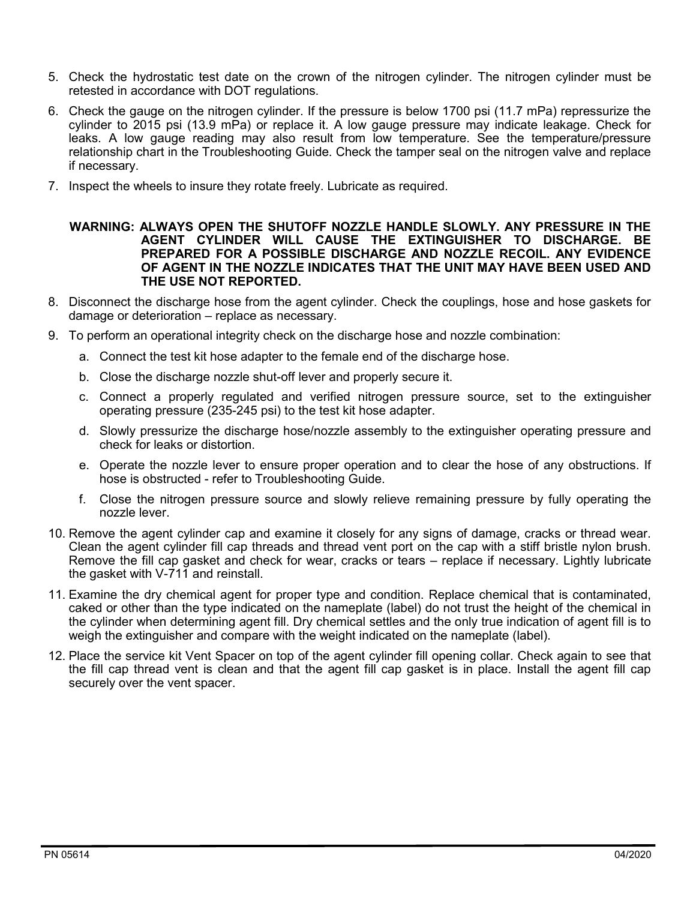- 5. Check the hydrostatic test date on the crown of the nitrogen cylinder. The nitrogen cylinder must be retested in accordance with DOT regulations.
- 6. Check the gauge on the nitrogen cylinder. If the pressure is below 1700 psi (11.7 mPa) repressurize the cylinder to 2015 psi (13.9 mPa) or replace it. A low gauge pressure may indicate leakage. Check for leaks. A low gauge reading may also result from low temperature. See the temperature/pressure relationship chart in the Troubleshooting Guide. Check the tamper seal on the nitrogen valve and replace if necessary.
- 7. Inspect the wheels to insure they rotate freely. Lubricate as required.

#### **WARNING: ALWAYS OPEN THE SHUTOFF NOZZLE HANDLE SLOWLY. ANY PRESSURE IN THE AGENT CYLINDER WILL CAUSE THE EXTINGUISHER TO DISCHARGE. BE PREPARED FOR A POSSIBLE DISCHARGE AND NOZZLE RECOIL. ANY EVIDENCE OF AGENT IN THE NOZZLE INDICATES THAT THE UNIT MAY HAVE BEEN USED AND THE USE NOT REPORTED.**

- 8. Disconnect the discharge hose from the agent cylinder. Check the couplings, hose and hose gaskets for damage or deterioration – replace as necessary.
- 9. To perform an operational integrity check on the discharge hose and nozzle combination:
	- a. Connect the test kit hose adapter to the female end of the discharge hose.
	- b. Close the discharge nozzle shut-off lever and properly secure it.
	- c. Connect a properly regulated and verified nitrogen pressure source, set to the extinguisher operating pressure (235-245 psi) to the test kit hose adapter.
	- d. Slowly pressurize the discharge hose/nozzle assembly to the extinguisher operating pressure and check for leaks or distortion.
	- e. Operate the nozzle lever to ensure proper operation and to clear the hose of any obstructions. If hose is obstructed - refer to Troubleshooting Guide.
	- f. Close the nitrogen pressure source and slowly relieve remaining pressure by fully operating the nozzle lever.
- 10. Remove the agent cylinder cap and examine it closely for any signs of damage, cracks or thread wear. Clean the agent cylinder fill cap threads and thread vent port on the cap with a stiff bristle nylon brush. Remove the fill cap gasket and check for wear, cracks or tears – replace if necessary. Lightly lubricate the gasket with V-711 and reinstall.
- 11. Examine the dry chemical agent for proper type and condition. Replace chemical that is contaminated, caked or other than the type indicated on the nameplate (label) do not trust the height of the chemical in the cylinder when determining agent fill. Dry chemical settles and the only true indication of agent fill is to weigh the extinguisher and compare with the weight indicated on the nameplate (label).
- 12. Place the service kit Vent Spacer on top of the agent cylinder fill opening collar. Check again to see that the fill cap thread vent is clean and that the agent fill cap gasket is in place. Install the agent fill cap securely over the vent spacer.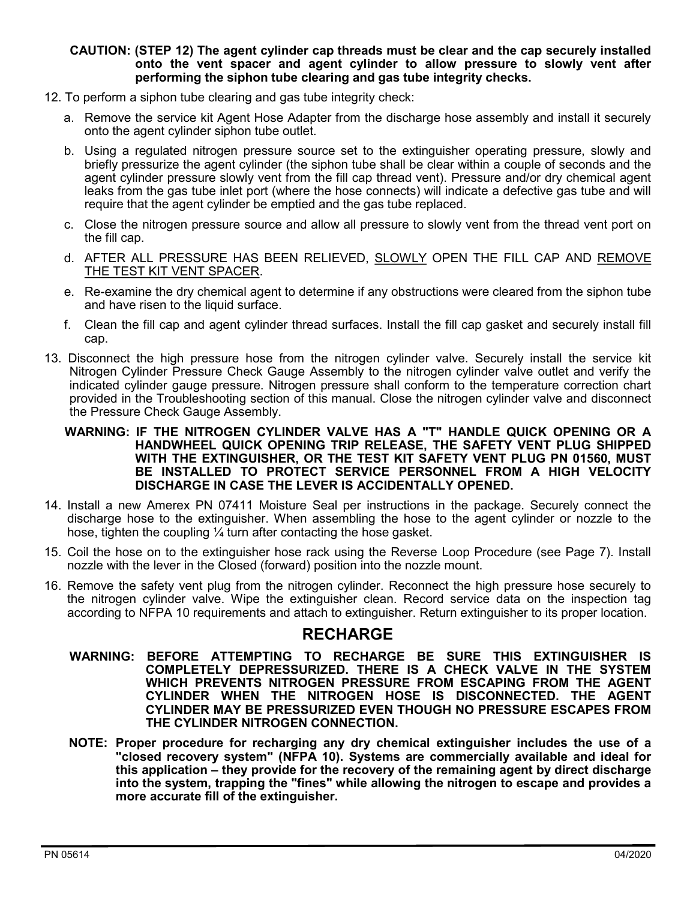#### **CAUTION: (STEP 12) The agent cylinder cap threads must be clear and the cap securely installed onto the vent spacer and agent cylinder to allow pressure to slowly vent after performing the siphon tube clearing and gas tube integrity checks.**

- 12. To perform a siphon tube clearing and gas tube integrity check:
	- a. Remove the service kit Agent Hose Adapter from the discharge hose assembly and install it securely onto the agent cylinder siphon tube outlet.
	- b. Using a regulated nitrogen pressure source set to the extinguisher operating pressure, slowly and briefly pressurize the agent cylinder (the siphon tube shall be clear within a couple of seconds and the agent cylinder pressure slowly vent from the fill cap thread vent). Pressure and/or dry chemical agent leaks from the gas tube inlet port (where the hose connects) will indicate a defective gas tube and will require that the agent cylinder be emptied and the gas tube replaced.
	- c. Close the nitrogen pressure source and allow all pressure to slowly vent from the thread vent port on the fill cap.
	- d. AFTER ALL PRESSURE HAS BEEN RELIEVED, SLOWLY OPEN THE FILL CAP AND REMOVE THE TEST KIT VENT SPACER.
	- e. Re-examine the dry chemical agent to determine if any obstructions were cleared from the siphon tube and have risen to the liquid surface.
	- f. Clean the fill cap and agent cylinder thread surfaces. Install the fill cap gasket and securely install fill cap.
- 13. Disconnect the high pressure hose from the nitrogen cylinder valve. Securely install the service kit Nitrogen Cylinder Pressure Check Gauge Assembly to the nitrogen cylinder valve outlet and verify the indicated cylinder gauge pressure. Nitrogen pressure shall conform to the temperature correction chart provided in the Troubleshooting section of this manual. Close the nitrogen cylinder valve and disconnect the Pressure Check Gauge Assembly.
	- **WARNING: IF THE NITROGEN CYLINDER VALVE HAS A "T" HANDLE QUICK OPENING OR A HANDWHEEL QUICK OPENING TRIP RELEASE, THE SAFETY VENT PLUG SHIPPED WITH THE EXTINGUISHER, OR THE TEST KIT SAFETY VENT PLUG PN 01560, MUST BE INSTALLED TO PROTECT SERVICE PERSONNEL FROM A HIGH VELOCITY DISCHARGE IN CASE THE LEVER IS ACCIDENTALLY OPENED.**
- 14. Install a new Amerex PN 07411 Moisture Seal per instructions in the package. Securely connect the discharge hose to the extinguisher. When assembling the hose to the agent cylinder or nozzle to the hose, tighten the coupling 1/4 turn after contacting the hose gasket.
- 15. Coil the hose on to the extinguisher hose rack using the Reverse Loop Procedure (see Page 7). Install nozzle with the lever in the Closed (forward) position into the nozzle mount.
- 16. Remove the safety vent plug from the nitrogen cylinder. Reconnect the high pressure hose securely to the nitrogen cylinder valve. Wipe the extinguisher clean. Record service data on the inspection tag according to NFPA 10 requirements and attach to extinguisher. Return extinguisher to its proper location.

#### **RECHARGE**

- **WARNING: BEFORE ATTEMPTING TO RECHARGE BE SURE THIS EXTINGUISHER IS COMPLETELY DEPRESSURIZED. THERE IS A CHECK VALVE IN THE SYSTEM WHICH PREVENTS NITROGEN PRESSURE FROM ESCAPING FROM THE AGENT CYLINDER WHEN THE NITROGEN HOSE IS DISCONNECTED. THE AGENT CYLINDER MAY BE PRESSURIZED EVEN THOUGH NO PRESSURE ESCAPES FROM THE CYLINDER NITROGEN CONNECTION.**
- **NOTE: Proper procedure for recharging any dry chemical extinguisher includes the use of a "closed recovery system" (NFPA 10). Systems are commercially available and ideal for this application – they provide for the recovery of the remaining agent by direct discharge into the system, trapping the "fines" while allowing the nitrogen to escape and provides a more accurate fill of the extinguisher.**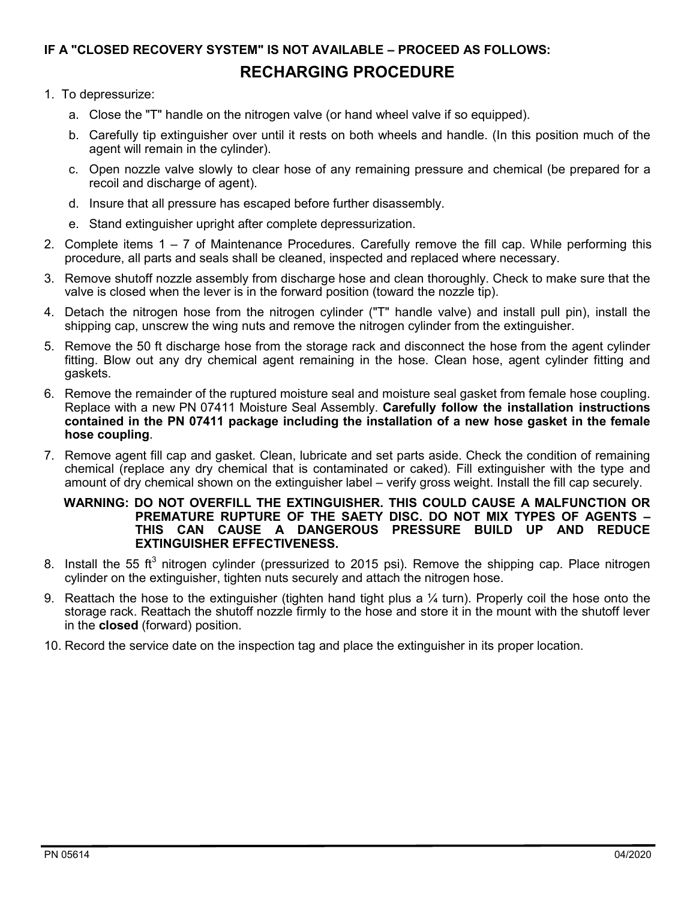# **IF A "CLOSED RECOVERY SYSTEM" IS NOT AVAILABLE – PROCEED AS FOLLOWS: RECHARGING PROCEDURE**

#### 1. To depressurize:

- a. Close the "T" handle on the nitrogen valve (or hand wheel valve if so equipped).
- b. Carefully tip extinguisher over until it rests on both wheels and handle. (In this position much of the agent will remain in the cylinder).
- c. Open nozzle valve slowly to clear hose of any remaining pressure and chemical (be prepared for a recoil and discharge of agent).
- d. Insure that all pressure has escaped before further disassembly.
- e. Stand extinguisher upright after complete depressurization.
- 2. Complete items 1 7 of Maintenance Procedures. Carefully remove the fill cap. While performing this procedure, all parts and seals shall be cleaned, inspected and replaced where necessary.
- 3. Remove shutoff nozzle assembly from discharge hose and clean thoroughly. Check to make sure that the valve is closed when the lever is in the forward position (toward the nozzle tip).
- 4. Detach the nitrogen hose from the nitrogen cylinder ("T" handle valve) and install pull pin), install the shipping cap, unscrew the wing nuts and remove the nitrogen cylinder from the extinguisher.
- 5. Remove the 50 ft discharge hose from the storage rack and disconnect the hose from the agent cylinder fitting. Blow out any dry chemical agent remaining in the hose. Clean hose, agent cylinder fitting and gaskets.
- 6. Remove the remainder of the ruptured moisture seal and moisture seal gasket from female hose coupling. Replace with a new PN 07411 Moisture Seal Assembly. **Carefully follow the installation instructions contained in the PN 07411 package including the installation of a new hose gasket in the female hose coupling**.
- 7. Remove agent fill cap and gasket. Clean, lubricate and set parts aside. Check the condition of remaining chemical (replace any dry chemical that is contaminated or caked). Fill extinguisher with the type and amount of dry chemical shown on the extinguisher label – verify gross weight. Install the fill cap securely.

#### **WARNING: DO NOT OVERFILL THE EXTINGUISHER. THIS COULD CAUSE A MALFUNCTION OR PREMATURE RUPTURE OF THE SAETY DISC. DO NOT MIX TYPES OF AGENTS – THIS CAN CAUSE A DANGEROUS PRESSURE BUILD UP AND REDUCE EXTINGUISHER EFFECTIVENESS.**

- 8. Install the 55 ft<sup>3</sup> nitrogen cylinder (pressurized to 2015 psi). Remove the shipping cap. Place nitrogen cylinder on the extinguisher, tighten nuts securely and attach the nitrogen hose.
- 9. Reattach the hose to the extinguisher (tighten hand tight plus a  $\frac{1}{4}$  turn). Properly coil the hose onto the storage rack. Reattach the shutoff nozzle firmly to the hose and store it in the mount with the shutoff lever in the **closed** (forward) position.
- 10. Record the service date on the inspection tag and place the extinguisher in its proper location.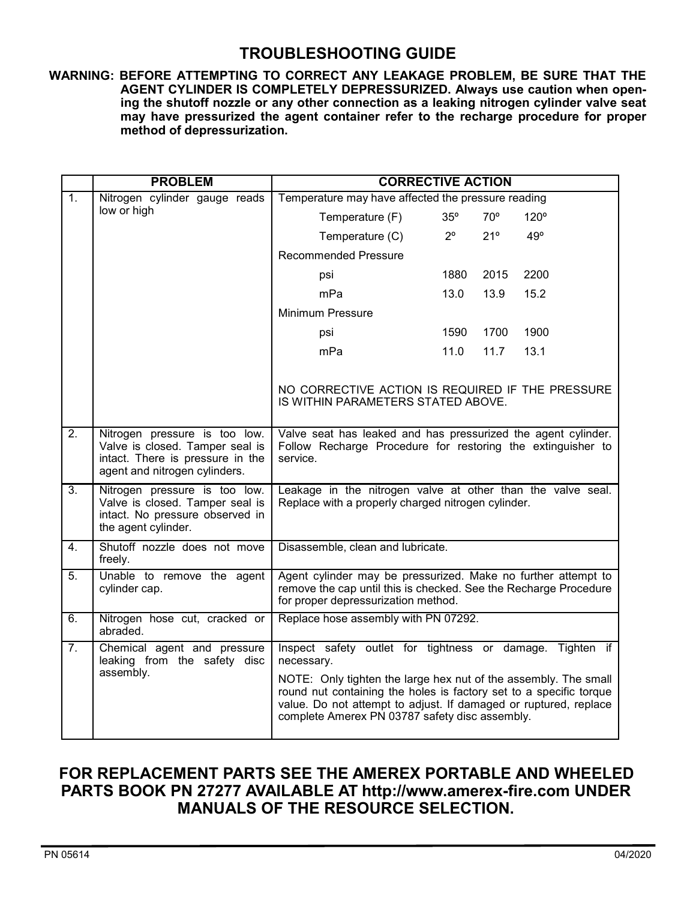### **TROUBLESHOOTING GUIDE**

**WARNING: BEFORE ATTEMPTING TO CORRECT ANY LEAKAGE PROBLEM, BE SURE THAT THE AGENT CYLINDER IS COMPLETELY DEPRESSURIZED. Always use caution when opening the shutoff nozzle or any other connection as a leaking nitrogen cylinder valve seat may have pressurized the agent container refer to the recharge procedure for proper method of depressurization.**

|                  | <b>PROBLEM</b>                                                                                                             | <b>CORRECTIVE ACTION</b>                                                                                                                                                                                                                                    |             |              |             |  |
|------------------|----------------------------------------------------------------------------------------------------------------------------|-------------------------------------------------------------------------------------------------------------------------------------------------------------------------------------------------------------------------------------------------------------|-------------|--------------|-------------|--|
| $\overline{1}$ . | Nitrogen cylinder gauge reads                                                                                              | Temperature may have affected the pressure reading                                                                                                                                                                                                          |             |              |             |  |
|                  | low or high                                                                                                                | Temperature (F)                                                                                                                                                                                                                                             | 35°         | $70^{\circ}$ | $120^\circ$ |  |
|                  |                                                                                                                            | Temperature (C)                                                                                                                                                                                                                                             | $2^{\circ}$ | 21°          | 49°         |  |
|                  |                                                                                                                            | <b>Recommended Pressure</b>                                                                                                                                                                                                                                 |             |              |             |  |
|                  |                                                                                                                            | psi                                                                                                                                                                                                                                                         | 1880        | 2015         | 2200        |  |
|                  |                                                                                                                            | mPa                                                                                                                                                                                                                                                         | 13.0        | 13.9         | 15.2        |  |
|                  |                                                                                                                            | <b>Minimum Pressure</b>                                                                                                                                                                                                                                     |             |              |             |  |
|                  |                                                                                                                            | psi                                                                                                                                                                                                                                                         | 1590        | 1700         | 1900        |  |
|                  |                                                                                                                            | mPa                                                                                                                                                                                                                                                         | 11.0        | 11.7         | 13.1        |  |
|                  |                                                                                                                            |                                                                                                                                                                                                                                                             |             |              |             |  |
|                  |                                                                                                                            | NO CORRECTIVE ACTION IS REQUIRED IF THE PRESSURE<br>IS WITHIN PARAMETERS STATED ABOVE.                                                                                                                                                                      |             |              |             |  |
| $\overline{2}$ . | Nitrogen pressure is too low.                                                                                              | Valve seat has leaked and has pressurized the agent cylinder.<br>Follow Recharge Procedure for restoring the extinguisher to<br>service.                                                                                                                    |             |              |             |  |
|                  | Valve is closed. Tamper seal is<br>intact. There is pressure in the<br>agent and nitrogen cylinders.                       |                                                                                                                                                                                                                                                             |             |              |             |  |
| $\overline{3}$ . | Nitrogen pressure is too low.<br>Valve is closed. Tamper seal is<br>intact. No pressure observed in<br>the agent cylinder. | Leakage in the nitrogen valve at other than the valve seal.<br>Replace with a properly charged nitrogen cylinder.                                                                                                                                           |             |              |             |  |
| $\overline{4}$ . | Shutoff nozzle does not move<br>freely.                                                                                    | Disassemble, clean and lubricate.                                                                                                                                                                                                                           |             |              |             |  |
| $\overline{5}$ . | Unable to remove the agent<br>cylinder cap.                                                                                | Agent cylinder may be pressurized. Make no further attempt to<br>remove the cap until this is checked. See the Recharge Procedure<br>for proper depressurization method.                                                                                    |             |              |             |  |
| 6.               | Nitrogen hose cut, cracked or<br>abraded.                                                                                  | Replace hose assembly with PN 07292.                                                                                                                                                                                                                        |             |              |             |  |
| $\overline{7}$ . | Chemical agent and pressure<br>leaking from the safety disc                                                                | Inspect safety outlet for tightness or damage. Tighten if<br>necessary.                                                                                                                                                                                     |             |              |             |  |
|                  | assembly.                                                                                                                  | NOTE: Only tighten the large hex nut of the assembly. The small<br>round nut containing the holes is factory set to a specific torque<br>value. Do not attempt to adjust. If damaged or ruptured, replace<br>complete Amerex PN 03787 safety disc assembly. |             |              |             |  |

### **FOR REPLACEMENT PARTS SEE THE AMEREX PORTABLE AND WHEELED PARTS BOOK PN 27277 AVAILABLE AT http://www.amerex-fire.com UNDER MANUALS OF THE RESOURCE SELECTION.**